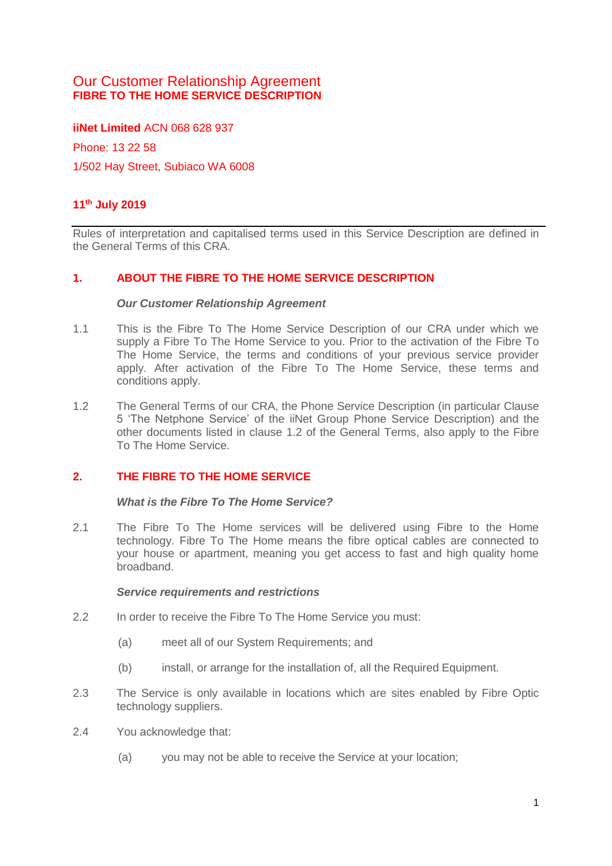# Our Customer Relationship Agreement **FIBRE TO THE HOME SERVICE DESCRIPTION**

**iiNet Limited** ACN 068 628 937

Phone: 13 22 58 1/502 Hay Street, Subiaco WA 6008

# **11th July 2019**

Rules of interpretation and capitalised terms used in this Service Description are defined in the General Terms of this CRA.

### **1. ABOUT THE FIBRE TO THE HOME SERVICE DESCRIPTION**

#### *Our Customer Relationship Agreement*

- 1.1 This is the Fibre To The Home Service Description of our CRA under which we supply a Fibre To The Home Service to you. Prior to the activation of the Fibre To The Home Service, the terms and conditions of your previous service provider apply. After activation of the Fibre To The Home Service, these terms and conditions apply.
- 1.2 The General Terms of our CRA, the Phone Service Description (in particular Clause 5 'The Netphone Service' of the iiNet Group Phone Service Description) and the other documents listed in clause 1.2 of the General Terms, also apply to the Fibre To The Home Service.

### **2. THE FIBRE TO THE HOME SERVICE**

#### *What is the Fibre To The Home Service?*

2.1 The Fibre To The Home services will be delivered using Fibre to the Home technology. Fibre To The Home means the fibre optical cables are connected to your house or apartment, meaning you get access to fast and high quality home broadband.

#### *Service requirements and restrictions*

- 2.2 In order to receive the Fibre To The Home Service you must:
	- (a) meet all of our System Requirements; and
	- (b) install, or arrange for the installation of, all the Required Equipment.
- 2.3 The Service is only available in locations which are sites enabled by Fibre Optic technology suppliers.
- 2.4 You acknowledge that:
	- (a) you may not be able to receive the Service at your location;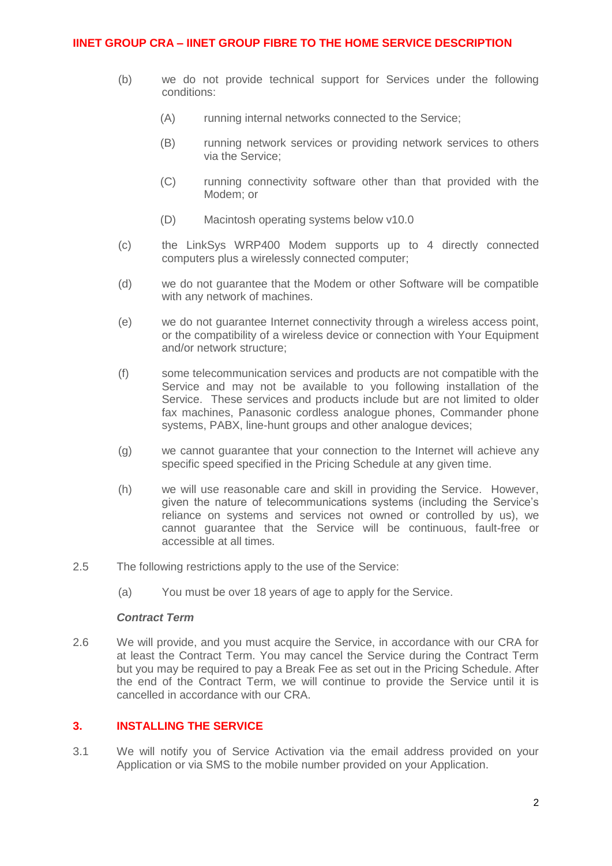- (b) we do not provide technical support for Services under the following conditions:
	- (A) running internal networks connected to the Service;
	- (B) running network services or providing network services to others via the Service;
	- (C) running connectivity software other than that provided with the Modem; or
	- (D) Macintosh operating systems below v10.0
- (c) the LinkSys WRP400 Modem supports up to 4 directly connected computers plus a wirelessly connected computer;
- (d) we do not guarantee that the Modem or other Software will be compatible with any network of machines.
- (e) we do not guarantee Internet connectivity through a wireless access point, or the compatibility of a wireless device or connection with Your Equipment and/or network structure;
- (f) some telecommunication services and products are not compatible with the Service and may not be available to you following installation of the Service. These services and products include but are not limited to older fax machines, Panasonic cordless analogue phones, Commander phone systems, PABX, line-hunt groups and other analogue devices;
- (g) we cannot guarantee that your connection to the Internet will achieve any specific speed specified in the Pricing Schedule at any given time.
- (h) we will use reasonable care and skill in providing the Service. However, given the nature of telecommunications systems (including the Service's reliance on systems and services not owned or controlled by us), we cannot guarantee that the Service will be continuous, fault-free or accessible at all times.
- 2.5 The following restrictions apply to the use of the Service:
	- (a) You must be over 18 years of age to apply for the Service.

### *Contract Term*

2.6 We will provide, and you must acquire the Service, in accordance with our CRA for at least the Contract Term. You may cancel the Service during the Contract Term but you may be required to pay a Break Fee as set out in the Pricing Schedule. After the end of the Contract Term, we will continue to provide the Service until it is cancelled in accordance with our CRA.

# **3. INSTALLING THE SERVICE**

3.1 We will notify you of Service Activation via the email address provided on your Application or via SMS to the mobile number provided on your Application.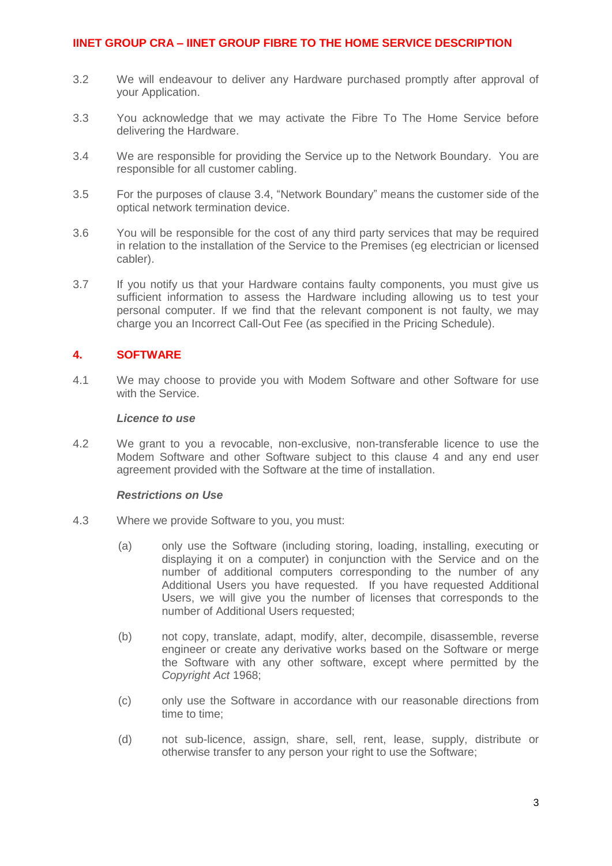- 3.2 We will endeavour to deliver any Hardware purchased promptly after approval of your Application.
- 3.3 You acknowledge that we may activate the Fibre To The Home Service before delivering the Hardware.
- <span id="page-2-0"></span>3.4 We are responsible for providing the Service up to the Network Boundary. You are responsible for all customer cabling.
- 3.5 For the purposes of clause [3.4,](#page-2-0) "Network Boundary" means the customer side of the optical network termination device.
- 3.6 You will be responsible for the cost of any third party services that may be required in relation to the installation of the Service to the Premises (eg electrician or licensed cabler).
- 3.7 If you notify us that your Hardware contains faulty components, you must give us sufficient information to assess the Hardware including allowing us to test your personal computer. If we find that the relevant component is not faulty, we may charge you an Incorrect Call-Out Fee (as specified in the Pricing Schedule).

# **4. SOFTWARE**

4.1 We may choose to provide you with Modem Software and other Software for use with the Service.

#### *Licence to use*

4.2 We grant to you a revocable, non-exclusive, non-transferable licence to use the Modem Software and other Software subject to this clause 4 and any end user agreement provided with the Software at the time of installation.

#### *Restrictions on Use*

- 4.3 Where we provide Software to you, you must:
	- (a) only use the Software (including storing, loading, installing, executing or displaying it on a computer) in conjunction with the Service and on the number of additional computers corresponding to the number of any Additional Users you have requested. If you have requested Additional Users, we will give you the number of licenses that corresponds to the number of Additional Users requested;
	- (b) not copy, translate, adapt, modify, alter, decompile, disassemble, reverse engineer or create any derivative works based on the Software or merge the Software with any other software, except where permitted by the *Copyright Act* 1968;
	- (c) only use the Software in accordance with our reasonable directions from time to time;
	- (d) not sub-licence, assign, share, sell, rent, lease, supply, distribute or otherwise transfer to any person your right to use the Software;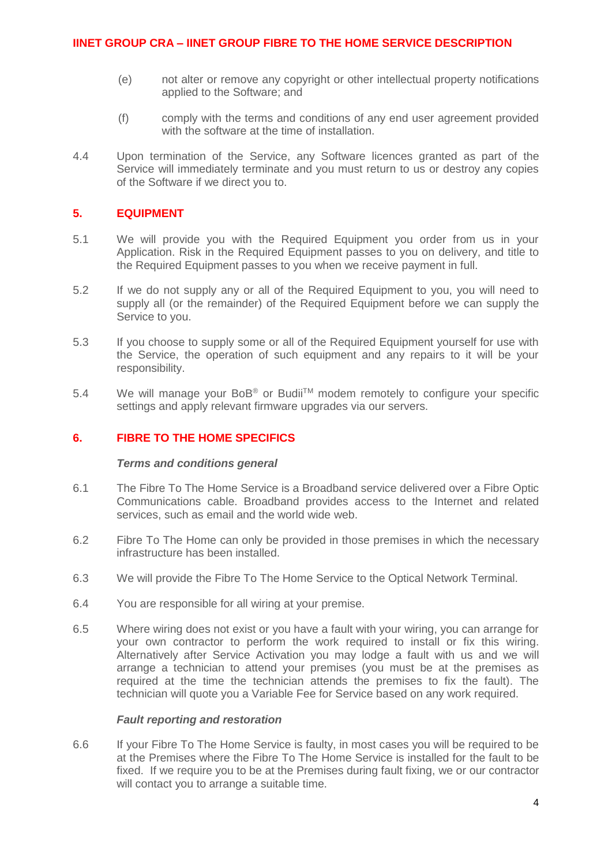- (e) not alter or remove any copyright or other intellectual property notifications applied to the Software; and
- (f) comply with the terms and conditions of any end user agreement provided with the software at the time of installation.
- 4.4 Upon termination of the Service, any Software licences granted as part of the Service will immediately terminate and you must return to us or destroy any copies of the Software if we direct you to.

# **5. EQUIPMENT**

- 5.1 We will provide you with the Required Equipment you order from us in your Application. Risk in the Required Equipment passes to you on delivery, and title to the Required Equipment passes to you when we receive payment in full.
- 5.2 If we do not supply any or all of the Required Equipment to you, you will need to supply all (or the remainder) of the Required Equipment before we can supply the Service to you.
- 5.3 If you choose to supply some or all of the Required Equipment yourself for use with the Service, the operation of such equipment and any repairs to it will be your responsibility.
- 5.4 We will manage your BoB<sup>®</sup> or Budii<sup>™</sup> modem remotely to configure your specific settings and apply relevant firmware upgrades via our servers.

## **6. FIBRE TO THE HOME SPECIFICS**

#### *Terms and conditions general*

- 6.1 The Fibre To The Home Service is a Broadband service delivered over a Fibre Optic Communications cable. Broadband provides access to the Internet and related services, such as email and the world wide web.
- 6.2 Fibre To The Home can only be provided in those premises in which the necessary infrastructure has been installed.
- 6.3 We will provide the Fibre To The Home Service to the Optical Network Terminal.
- 6.4 You are responsible for all wiring at your premise.
- 6.5 Where wiring does not exist or you have a fault with your wiring, you can arrange for your own contractor to perform the work required to install or fix this wiring. Alternatively after Service Activation you may lodge a fault with us and we will arrange a technician to attend your premises (you must be at the premises as required at the time the technician attends the premises to fix the fault). The technician will quote you a Variable Fee for Service based on any work required.

### *Fault reporting and restoration*

6.6 If your Fibre To The Home Service is faulty, in most cases you will be required to be at the Premises where the Fibre To The Home Service is installed for the fault to be fixed. If we require you to be at the Premises during fault fixing, we or our contractor will contact you to arrange a suitable time.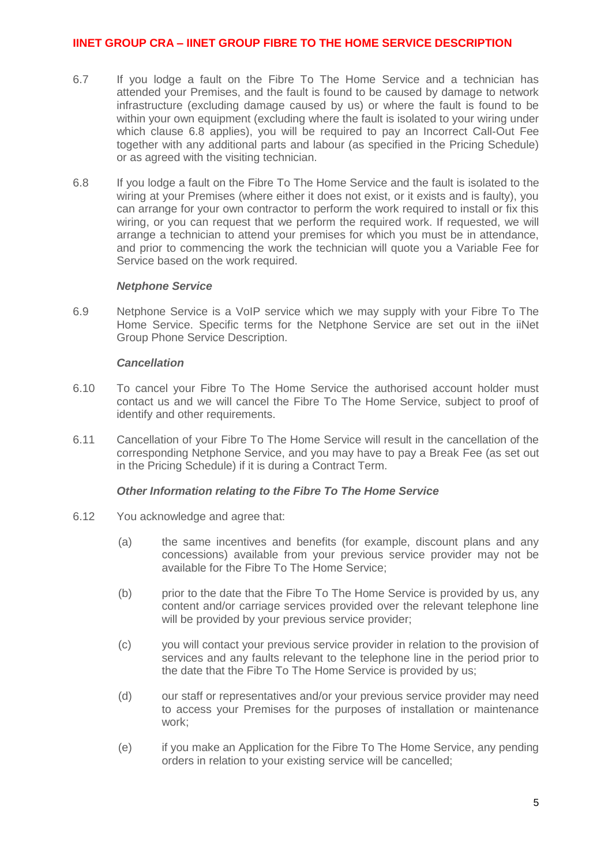- 6.7 If you lodge a fault on the Fibre To The Home Service and a technician has attended your Premises, and the fault is found to be caused by damage to network infrastructure (excluding damage caused by us) or where the fault is found to be within your own equipment (excluding where the fault is isolated to your wiring under which clause 6.8 applies), you will be required to pay an Incorrect Call-Out Fee together with any additional parts and labour (as specified in the Pricing Schedule) or as agreed with the visiting technician.
- 6.8 If you lodge a fault on the Fibre To The Home Service and the fault is isolated to the wiring at your Premises (where either it does not exist, or it exists and is faulty), you can arrange for your own contractor to perform the work required to install or fix this wiring, or you can request that we perform the required work. If requested, we will arrange a technician to attend your premises for which you must be in attendance, and prior to commencing the work the technician will quote you a Variable Fee for Service based on the work required.

#### *Netphone Service*

6.9 Netphone Service is a VoIP service which we may supply with your Fibre To The Home Service. Specific terms for the Netphone Service are set out in the iiNet Group Phone Service Description.

### *Cancellation*

- 6.10 To cancel your Fibre To The Home Service the authorised account holder must contact us and we will cancel the Fibre To The Home Service, subject to proof of identify and other requirements.
- 6.11 Cancellation of your Fibre To The Home Service will result in the cancellation of the corresponding Netphone Service, and you may have to pay a Break Fee (as set out in the Pricing Schedule) if it is during a Contract Term.

### *Other Information relating to the Fibre To The Home Service*

- 6.12 You acknowledge and agree that:
	- (a) the same incentives and benefits (for example, discount plans and any concessions) available from your previous service provider may not be available for the Fibre To The Home Service;
	- (b) prior to the date that the Fibre To The Home Service is provided by us, any content and/or carriage services provided over the relevant telephone line will be provided by your previous service provider;
	- (c) you will contact your previous service provider in relation to the provision of services and any faults relevant to the telephone line in the period prior to the date that the Fibre To The Home Service is provided by us;
	- (d) our staff or representatives and/or your previous service provider may need to access your Premises for the purposes of installation or maintenance work;
	- (e) if you make an Application for the Fibre To The Home Service, any pending orders in relation to your existing service will be cancelled;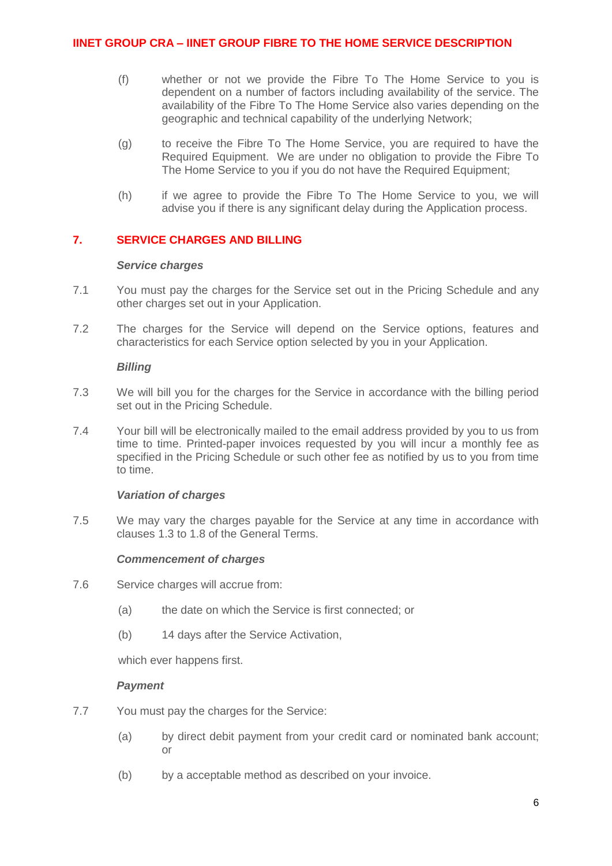- (f) whether or not we provide the Fibre To The Home Service to you is dependent on a number of factors including availability of the service. The availability of the Fibre To The Home Service also varies depending on the geographic and technical capability of the underlying Network;
- (g) to receive the Fibre To The Home Service, you are required to have the Required Equipment. We are under no obligation to provide the Fibre To The Home Service to you if you do not have the Required Equipment;
- (h) if we agree to provide the Fibre To The Home Service to you, we will advise you if there is any significant delay during the Application process.

### **7. SERVICE CHARGES AND BILLING**

#### *Service charges*

- 7.1 You must pay the charges for the Service set out in the Pricing Schedule and any other charges set out in your Application.
- 7.2 The charges for the Service will depend on the Service options, features and characteristics for each Service option selected by you in your Application.

#### *Billing*

- 7.3 We will bill you for the charges for the Service in accordance with the billing period set out in the Pricing Schedule.
- 7.4 Your bill will be electronically mailed to the email address provided by you to us from time to time. Printed-paper invoices requested by you will incur a monthly fee as specified in the Pricing Schedule or such other fee as notified by us to you from time to time.

### *Variation of charges*

7.5 We may vary the charges payable for the Service at any time in accordance with clauses 1.3 to 1.8 of the General Terms.

### *Commencement of charges*

- 7.6 Service charges will accrue from:
	- (a) the date on which the Service is first connected; or
	- (b) 14 days after the Service Activation,

which ever happens first.

### *Payment*

- 7.7 You must pay the charges for the Service:
	- (a) by direct debit payment from your credit card or nominated bank account; or
	- (b) by a acceptable method as described on your invoice.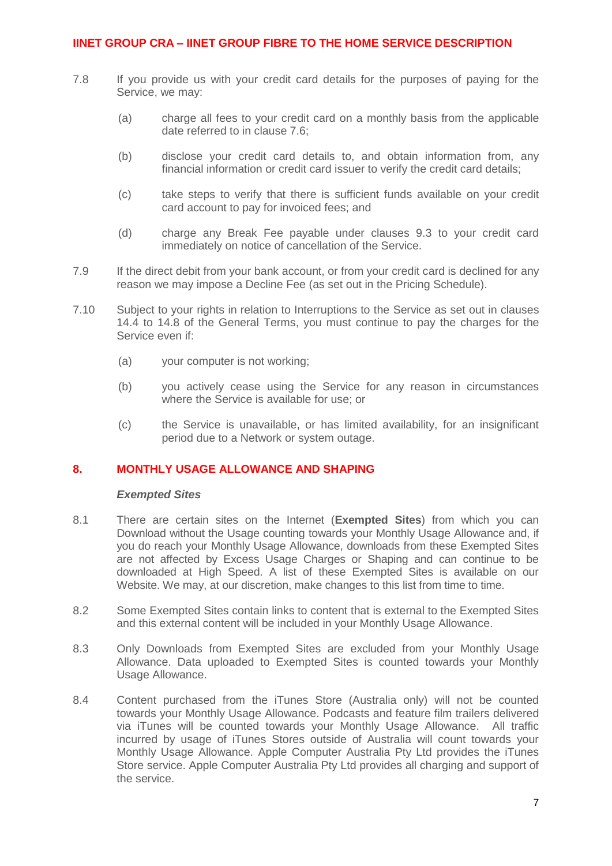- 7.8 If you provide us with your credit card details for the purposes of paying for the Service, we may:
	- (a) charge all fees to your credit card on a monthly basis from the applicable date referred to in clause 7.6;
	- (b) disclose your credit card details to, and obtain information from, any financial information or credit card issuer to verify the credit card details;
	- (c) take steps to verify that there is sufficient funds available on your credit card account to pay for invoiced fees; and
	- (d) charge any Break Fee payable under clauses 9.3 to your credit card immediately on notice of cancellation of the Service.
- 7.9 If the direct debit from your bank account, or from your credit card is declined for any reason we may impose a Decline Fee (as set out in the Pricing Schedule).
- 7.10 Subject to your rights in relation to Interruptions to the Service as set out in clauses 14.4 to 14.8 of the General Terms, you must continue to pay the charges for the Service even if:
	- (a) your computer is not working;
	- (b) you actively cease using the Service for any reason in circumstances where the Service is available for use; or
	- (c) the Service is unavailable, or has limited availability, for an insignificant period due to a Network or system outage.

#### **8. MONTHLY USAGE ALLOWANCE AND SHAPING**

#### *Exempted Sites*

- 8.1 There are certain sites on the Internet (**Exempted Sites**) from which you can Download without the Usage counting towards your Monthly Usage Allowance and, if you do reach your Monthly Usage Allowance, downloads from these Exempted Sites are not affected by Excess Usage Charges or Shaping and can continue to be downloaded at High Speed. A list of these Exempted Sites is available on our Website. We may, at our discretion, make changes to this list from time to time.
- 8.2 Some Exempted Sites contain links to content that is external to the Exempted Sites and this external content will be included in your Monthly Usage Allowance.
- 8.3 Only Downloads from Exempted Sites are excluded from your Monthly Usage Allowance. Data uploaded to Exempted Sites is counted towards your Monthly Usage Allowance.
- 8.4 Content purchased from the iTunes Store (Australia only) will not be counted towards your Monthly Usage Allowance. Podcasts and feature film trailers delivered via iTunes will be counted towards your Monthly Usage Allowance. All traffic incurred by usage of iTunes Stores outside of Australia will count towards your Monthly Usage Allowance. Apple Computer Australia Pty Ltd provides the iTunes Store service. Apple Computer Australia Pty Ltd provides all charging and support of the service.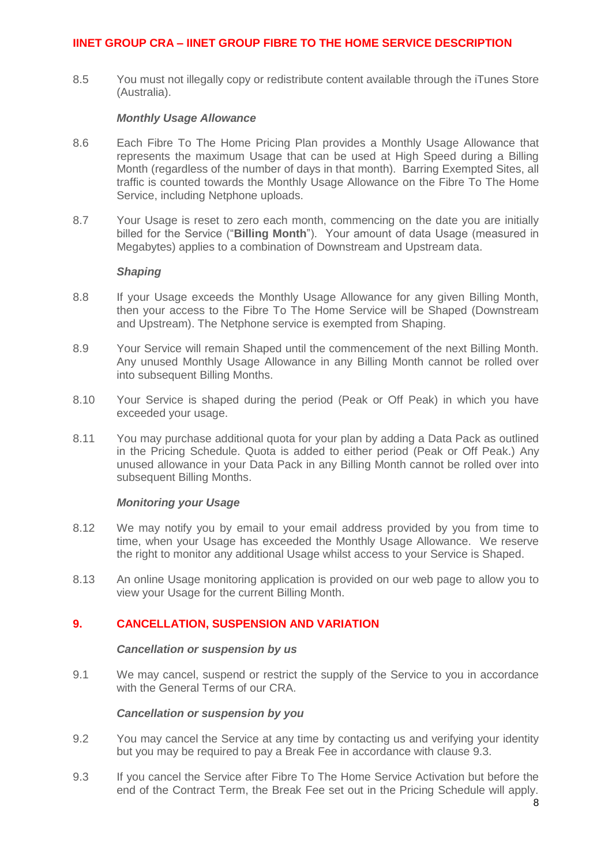8.5 You must not illegally copy or redistribute content available through the iTunes Store (Australia).

#### *Monthly Usage Allowance*

- 8.6 Each Fibre To The Home Pricing Plan provides a Monthly Usage Allowance that represents the maximum Usage that can be used at High Speed during a Billing Month (regardless of the number of days in that month). Barring Exempted Sites, all traffic is counted towards the Monthly Usage Allowance on the Fibre To The Home Service, including Netphone uploads.
- 8.7 Your Usage is reset to zero each month, commencing on the date you are initially billed for the Service ("**Billing Month**"). Your amount of data Usage (measured in Megabytes) applies to a combination of Downstream and Upstream data.

#### *Shaping*

- 8.8 If your Usage exceeds the Monthly Usage Allowance for any given Billing Month, then your access to the Fibre To The Home Service will be Shaped (Downstream and Upstream). The Netphone service is exempted from Shaping.
- 8.9 Your Service will remain Shaped until the commencement of the next Billing Month. Any unused Monthly Usage Allowance in any Billing Month cannot be rolled over into subsequent Billing Months.
- 8.10 Your Service is shaped during the period (Peak or Off Peak) in which you have exceeded your usage.
- 8.11 You may purchase additional quota for your plan by adding a Data Pack as outlined in the Pricing Schedule. Quota is added to either period (Peak or Off Peak.) Any unused allowance in your Data Pack in any Billing Month cannot be rolled over into subsequent Billing Months.

### *Monitoring your Usage*

- 8.12 We may notify you by email to your email address provided by you from time to time, when your Usage has exceeded the Monthly Usage Allowance. We reserve the right to monitor any additional Usage whilst access to your Service is Shaped.
- 8.13 An online Usage monitoring application is provided on our web page to allow you to view your Usage for the current Billing Month.

### **9. CANCELLATION, SUSPENSION AND VARIATION**

#### *Cancellation or suspension by us*

9.1 We may cancel, suspend or restrict the supply of the Service to you in accordance with the General Terms of our CRA.

#### *Cancellation or suspension by you*

- 9.2 You may cancel the Service at any time by contacting us and verifying your identity but you may be required to pay a Break Fee in accordance with clause 9.3.
- 9.3 If you cancel the Service after Fibre To The Home Service Activation but before the end of the Contract Term, the Break Fee set out in the Pricing Schedule will apply.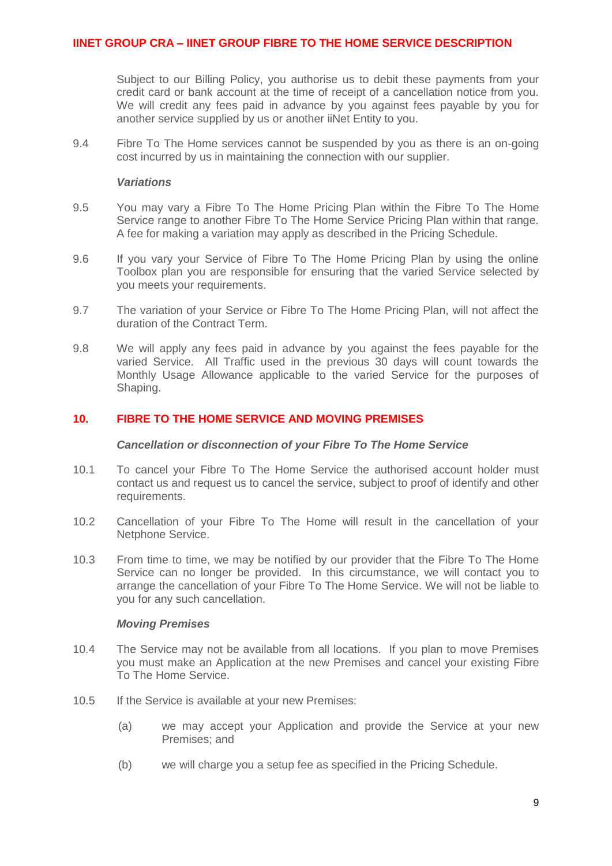Subject to our Billing Policy, you authorise us to debit these payments from your credit card or bank account at the time of receipt of a cancellation notice from you. We will credit any fees paid in advance by you against fees payable by you for another service supplied by us or another iiNet Entity to you.

9.4 Fibre To The Home services cannot be suspended by you as there is an on-going cost incurred by us in maintaining the connection with our supplier.

#### *Variations*

- 9.5 You may vary a Fibre To The Home Pricing Plan within the Fibre To The Home Service range to another Fibre To The Home Service Pricing Plan within that range. A fee for making a variation may apply as described in the Pricing Schedule.
- 9.6 If you vary your Service of Fibre To The Home Pricing Plan by using the online Toolbox plan you are responsible for ensuring that the varied Service selected by you meets your requirements.
- 9.7 The variation of your Service or Fibre To The Home Pricing Plan, will not affect the duration of the Contract Term.
- 9.8 We will apply any fees paid in advance by you against the fees payable for the varied Service. All Traffic used in the previous 30 days will count towards the Monthly Usage Allowance applicable to the varied Service for the purposes of Shaping.

### **10. FIBRE TO THE HOME SERVICE AND MOVING PREMISES**

#### *Cancellation or disconnection of your Fibre To The Home Service*

- 10.1 To cancel your Fibre To The Home Service the authorised account holder must contact us and request us to cancel the service, subject to proof of identify and other requirements.
- 10.2 Cancellation of your Fibre To The Home will result in the cancellation of your Netphone Service.
- 10.3 From time to time, we may be notified by our provider that the Fibre To The Home Service can no longer be provided. In this circumstance, we will contact you to arrange the cancellation of your Fibre To The Home Service. We will not be liable to you for any such cancellation.

#### *Moving Premises*

- 10.4 The Service may not be available from all locations. If you plan to move Premises you must make an Application at the new Premises and cancel your existing Fibre To The Home Service.
- 10.5 If the Service is available at your new Premises:
	- (a) we may accept your Application and provide the Service at your new Premises; and
	- (b) we will charge you a setup fee as specified in the Pricing Schedule.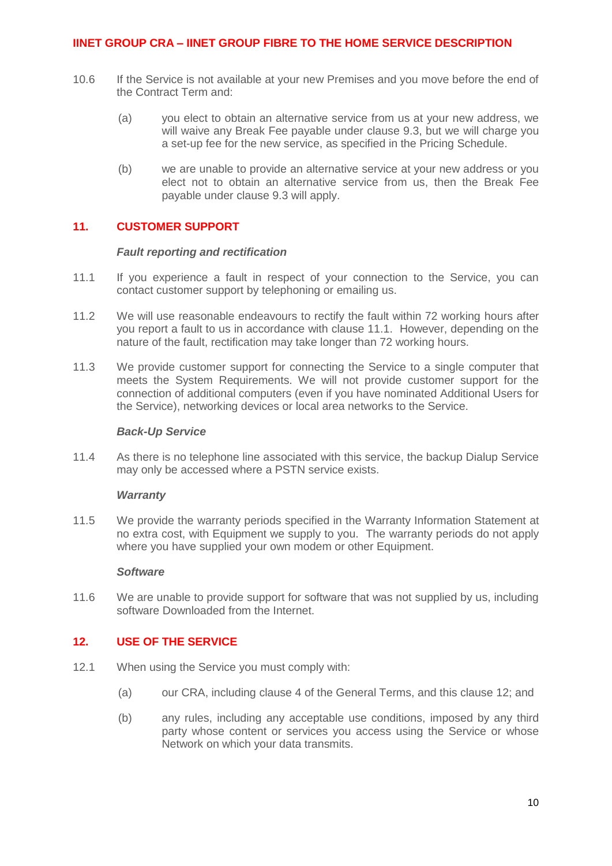- 10.6 If the Service is not available at your new Premises and you move before the end of the Contract Term and:
	- (a) you elect to obtain an alternative service from us at your new address, we will waive any Break Fee payable under clause 9.3, but we will charge you a set-up fee for the new service, as specified in the Pricing Schedule.
	- (b) we are unable to provide an alternative service at your new address or you elect not to obtain an alternative service from us, then the Break Fee payable under clause 9.3 will apply.

# **11. CUSTOMER SUPPORT**

#### *Fault reporting and rectification*

- 11.1 If you experience a fault in respect of your connection to the Service, you can contact customer support by telephoning or emailing us.
- 11.2 We will use reasonable endeavours to rectify the fault within 72 working hours after you report a fault to us in accordance with clause 11.1. However, depending on the nature of the fault, rectification may take longer than 72 working hours.
- 11.3 We provide customer support for connecting the Service to a single computer that meets the System Requirements. We will not provide customer support for the connection of additional computers (even if you have nominated Additional Users for the Service), networking devices or local area networks to the Service.

#### *Back-Up Service*

11.4 As there is no telephone line associated with this service, the backup Dialup Service may only be accessed where a PSTN service exists.

#### *Warranty*

11.5 We provide the warranty periods specified in the Warranty Information Statement at no extra cost, with Equipment we supply to you. The warranty periods do not apply where you have supplied your own modem or other Equipment.

#### *Software*

11.6 We are unable to provide support for software that was not supplied by us, including software Downloaded from the Internet.

### <span id="page-9-0"></span>**12. USE OF THE SERVICE**

- 12.1 When using the Service you must comply with:
	- (a) our CRA, including clause 4 of the General Terms, and this clause [12;](#page-9-0) and
	- (b) any rules, including any acceptable use conditions, imposed by any third party whose content or services you access using the Service or whose Network on which your data transmits.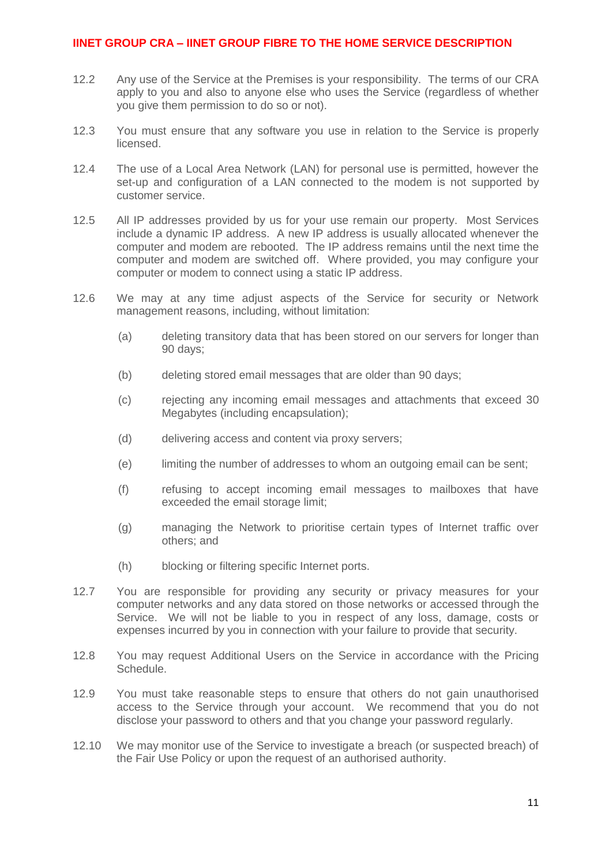- 12.2 Any use of the Service at the Premises is your responsibility. The terms of our CRA apply to you and also to anyone else who uses the Service (regardless of whether you give them permission to do so or not).
- 12.3 You must ensure that any software you use in relation to the Service is properly licensed.
- 12.4 The use of a Local Area Network (LAN) for personal use is permitted, however the set-up and configuration of a LAN connected to the modem is not supported by customer service.
- 12.5 All IP addresses provided by us for your use remain our property. Most Services include a dynamic IP address. A new IP address is usually allocated whenever the computer and modem are rebooted. The IP address remains until the next time the computer and modem are switched off. Where provided, you may configure your computer or modem to connect using a static IP address.
- 12.6 We may at any time adjust aspects of the Service for security or Network management reasons, including, without limitation:
	- (a) deleting transitory data that has been stored on our servers for longer than 90 days;
	- (b) deleting stored email messages that are older than 90 days;
	- (c) rejecting any incoming email messages and attachments that exceed 30 Megabytes (including encapsulation):
	- (d) delivering access and content via proxy servers;
	- (e) limiting the number of addresses to whom an outgoing email can be sent;
	- (f) refusing to accept incoming email messages to mailboxes that have exceeded the email storage limit;
	- (g) managing the Network to prioritise certain types of Internet traffic over others; and
	- (h) blocking or filtering specific Internet ports.
- 12.7 You are responsible for providing any security or privacy measures for your computer networks and any data stored on those networks or accessed through the Service. We will not be liable to you in respect of any loss, damage, costs or expenses incurred by you in connection with your failure to provide that security.
- 12.8 You may request Additional Users on the Service in accordance with the Pricing Schedule.
- 12.9 You must take reasonable steps to ensure that others do not gain unauthorised access to the Service through your account. We recommend that you do not disclose your password to others and that you change your password regularly.
- 12.10 We may monitor use of the Service to investigate a breach (or suspected breach) of the Fair Use Policy or upon the request of an authorised authority.